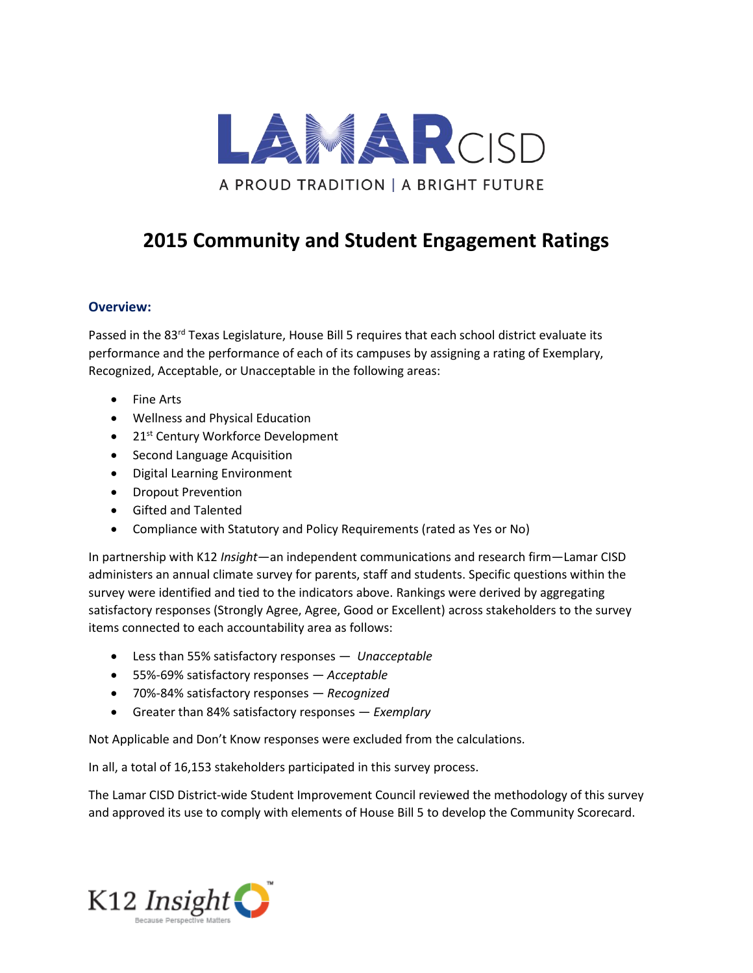

## **2015 Community and Student Engagement Ratings**

## **Overview:**

Passed in the 83<sup>rd</sup> Texas Legislature, House Bill 5 requires that each school district evaluate its performance and the performance of each of its campuses by assigning a rating of Exemplary, Recognized, Acceptable, or Unacceptable in the following areas:

- Fine Arts
- Wellness and Physical Education
- 21<sup>st</sup> Century Workforce Development
- Second Language Acquisition
- Digital Learning Environment
- Dropout Prevention
- Gifted and Talented
- Compliance with Statutory and Policy Requirements (rated as Yes or No)

In partnership with K12 *Insight*—an independent communications and research firm—Lamar CISD administers an annual climate survey for parents, staff and students. Specific questions within the survey were identified and tied to the indicators above. Rankings were derived by aggregating satisfactory responses (Strongly Agree, Agree, Good or Excellent) across stakeholders to the survey items connected to each accountability area as follows:

- Less than 55% satisfactory responses *Unacceptable*
- 55%-69% satisfactory responses *Acceptable*
- 70%-84% satisfactory responses *Recognized*
- Greater than 84% satisfactory responses *Exemplary*

Not Applicable and Don't Know responses were excluded from the calculations.

In all, a total of 16,153 stakeholders participated in this survey process.

The Lamar CISD District-wide Student Improvement Council reviewed the methodology of this survey and approved its use to comply with elements of House Bill 5 to develop the Community Scorecard.